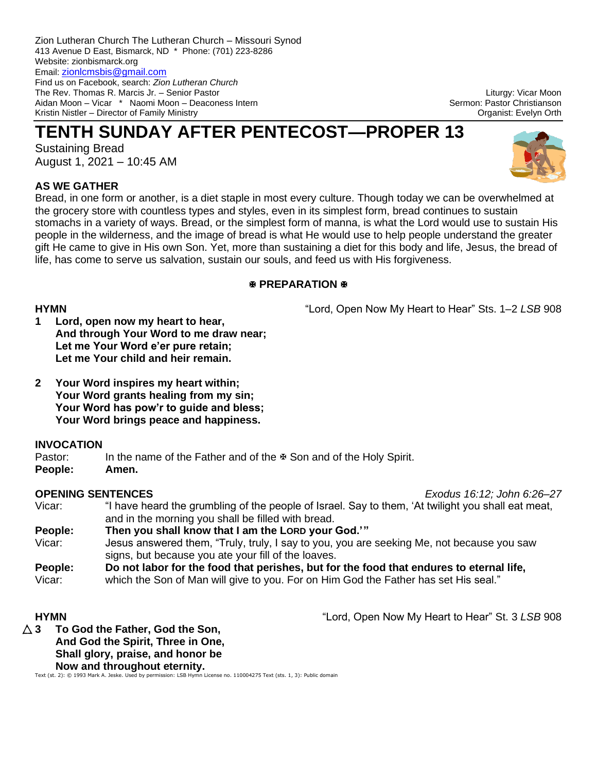Zion Lutheran Church The Lutheran Church – Missouri Synod 413 Avenue D East, Bismarck, ND \* Phone: (701) 223-8286 Website: zionbismarck.org Email: [zionlcmsbis@gmail.com](mailto:zionlcmsbis@gmail.com) Find us on Facebook, search: *Zion Lutheran Church* The Rev. Thomas R. Marcis Jr. – Senior Pastor Liturgy: Vicar Moon Aidan Moon – Vicar \* Naomi Moon – Deaconess Intern Sermon: Pastor Christianson Kristin Nistler – Director of Family Ministry Organist: Evelyn Orth

# **TENTH SUNDAY AFTER PENTECOST—PROPER 13**

Sustaining Bread August 1, 2021 – 10:45 AM

# **AS WE GATHER**

Bread, in one form or another, is a diet staple in most every culture. Though today we can be overwhelmed at the grocery store with countless types and styles, even in its simplest form, bread continues to sustain stomachs in a variety of ways. Bread, or the simplest form of manna, is what the Lord would use to sustain His people in the wilderness, and the image of bread is what He would use to help people understand the greater gift He came to give in His own Son. Yet, more than sustaining a diet for this body and life, Jesus, the bread of life, has come to serve us salvation, sustain our souls, and feed us with His forgiveness.

### **EXPREPARATION &**

#### **HYMN** "Lord, Open Now My Heart to Hear" Sts. 1–2 *LSB* 908

- **1 Lord, open now my heart to hear, And through Your Word to me draw near; Let me Your Word e'er pure retain; Let me Your child and heir remain.**
- **2 Your Word inspires my heart within; Your Word grants healing from my sin; Your Word has pow'r to guide and bless; Your Word brings peace and happiness.**

#### **INVOCATION**

Pastor: In the name of the Father and of the  $\frac{1}{2}$  Son and of the Holy Spirit. **People: Amen.**

**OPENING SENTENCES** *Exodus 16:12; John 6:26–27*

Vicar: "I have heard the grumbling of the people of Israel. Say to them, 'At twilight you shall eat meat, and in the morning you shall be filled with bread.

**People: Then you shall know that I am the LORD your God.'"** Vicar: Jesus answered them, "Truly, truly, I say to you, you are seeking Me, not because you saw signs, but because you ate your fill of the loaves.

**People: Do not labor for the food that perishes, but for the food that endures to eternal life,** Vicar: which the Son of Man will give to you. For on Him God the Father has set His seal."

# **HYMN EXAMPLE 19 AND THE STATE OF STATE 10 AND THE STATE OF STATE 10 AND THE STATE OF STATE 10 AND THE STATE OF STATE 10 AND THE STATE 10 AND THE STATE 10 AND THE STATE 10 AND THE STATE 10 AND THE STATE 10 AND THE STATE**

 $\triangle$  3 To God the Father, God the Son,

**And God the Spirit, Three in One,**

**Shall glory, praise, and honor be**

**Now and throughout eternity.**

Text (st. 2): © 1993 Mark A. Jeske. Used by permission: LSB Hymn License no. 110004275 Text (sts. 1, 3): Public domain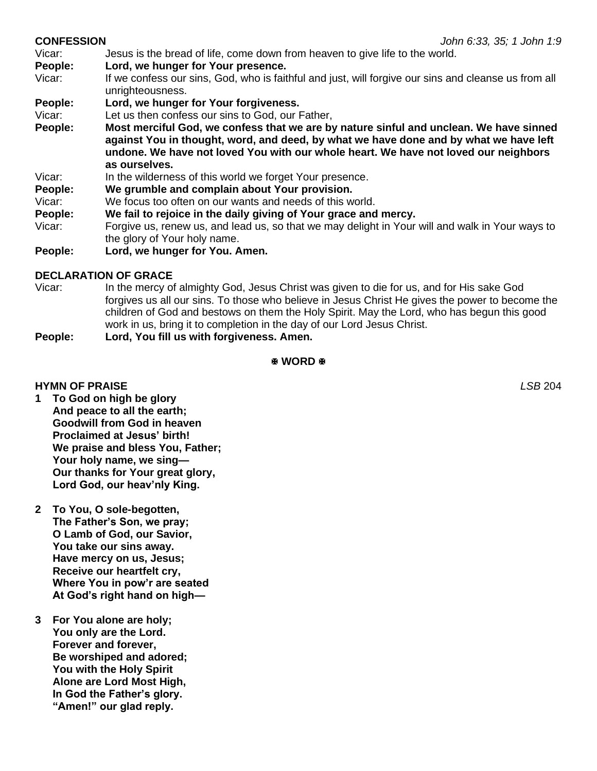| Vicar:  | Jesus is the bread of life, come down from heaven to give life to the world.                                                                                                                                                                                                            |
|---------|-----------------------------------------------------------------------------------------------------------------------------------------------------------------------------------------------------------------------------------------------------------------------------------------|
| People: | Lord, we hunger for Your presence.                                                                                                                                                                                                                                                      |
| Vicar:  | If we confess our sins, God, who is faithful and just, will forgive our sins and cleanse us from all<br>unrighteousness.                                                                                                                                                                |
| People: | Lord, we hunger for Your forgiveness.                                                                                                                                                                                                                                                   |
| Vicar:  | Let us then confess our sins to God, our Father,                                                                                                                                                                                                                                        |
| People: | Most merciful God, we confess that we are by nature sinful and unclean. We have sinned<br>against You in thought, word, and deed, by what we have done and by what we have left<br>undone. We have not loved You with our whole heart. We have not loved our neighbors<br>as ourselves. |
| Vicar:  | In the wilderness of this world we forget Your presence.                                                                                                                                                                                                                                |
| People: | We grumble and complain about Your provision.                                                                                                                                                                                                                                           |
| Vicar:  | We focus too often on our wants and needs of this world.                                                                                                                                                                                                                                |
| People: | We fail to rejoice in the daily giving of Your grace and mercy.                                                                                                                                                                                                                         |
| Vicar:  | Forgive us, renew us, and lead us, so that we may delight in Your will and walk in Your ways to<br>the glory of Your holy name.                                                                                                                                                         |
| People: | Lord, we hunger for You. Amen.                                                                                                                                                                                                                                                          |

### **DECLARATION OF GRACE**

Vicar: In the mercy of almighty God, Jesus Christ was given to die for us, and for His sake God forgives us all our sins. To those who believe in Jesus Christ He gives the power to become the children of God and bestows on them the Holy Spirit. May the Lord, who has begun this good work in us, bring it to completion in the day of our Lord Jesus Christ.

**People: Lord, You fill us with forgiveness. Amen.**

#### **WORD**

#### **HYMN OF PRAISE** *LSB* 204

- **1 To God on high be glory And peace to all the earth; Goodwill from God in heaven Proclaimed at Jesus' birth! We praise and bless You, Father; Your holy name, we sing— Our thanks for Your great glory, Lord God, our heav'nly King.**
- **2 To You, O sole-begotten, The Father's Son, we pray; O Lamb of God, our Savior, You take our sins away. Have mercy on us, Jesus; Receive our heartfelt cry, Where You in pow'r are seated At God's right hand on high—**
- **3 For You alone are holy; You only are the Lord. Forever and forever, Be worshiped and adored; You with the Holy Spirit Alone are Lord Most High, In God the Father's glory. "Amen!" our glad reply.**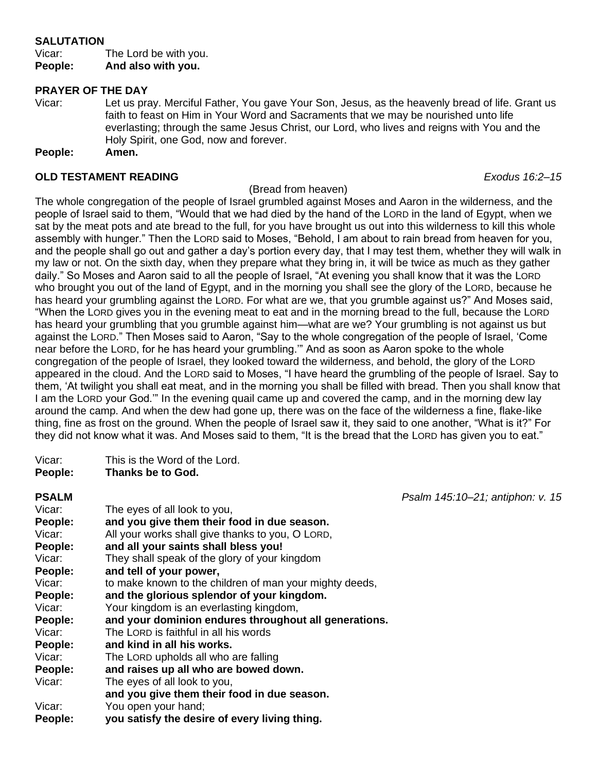# **SALUTATION**

Vicar: The Lord be with you. **People: And also with you.**

### **PRAYER OF THE DAY**

Vicar: Let us pray. Merciful Father, You gave Your Son, Jesus, as the heavenly bread of life. Grant us faith to feast on Him in Your Word and Sacraments that we may be nourished unto life everlasting; through the same Jesus Christ, our Lord, who lives and reigns with You and the Holy Spirit, one God, now and forever.

**People: Amen.**

### **OLD TESTAMENT READING** *Exodus 16:2–15*

(Bread from heaven)

The whole congregation of the people of Israel grumbled against Moses and Aaron in the wilderness, and the people of Israel said to them, "Would that we had died by the hand of the LORD in the land of Egypt, when we sat by the meat pots and ate bread to the full, for you have brought us out into this wilderness to kill this whole assembly with hunger." Then the LORD said to Moses, "Behold, I am about to rain bread from heaven for you, and the people shall go out and gather a day's portion every day, that I may test them, whether they will walk in my law or not. On the sixth day, when they prepare what they bring in, it will be twice as much as they gather daily." So Moses and Aaron said to all the people of Israel, "At evening you shall know that it was the LORD who brought you out of the land of Egypt, and in the morning you shall see the glory of the LORD, because he has heard your grumbling against the LORD. For what are we, that you grumble against us?" And Moses said, "When the LORD gives you in the evening meat to eat and in the morning bread to the full, because the LORD has heard your grumbling that you grumble against him—what are we? Your grumbling is not against us but against the LORD." Then Moses said to Aaron, "Say to the whole congregation of the people of Israel, 'Come near before the LORD, for he has heard your grumbling.'" And as soon as Aaron spoke to the whole congregation of the people of Israel, they looked toward the wilderness, and behold, the glory of the LORD appeared in the cloud. And the LORD said to Moses, "I have heard the grumbling of the people of Israel. Say to them, 'At twilight you shall eat meat, and in the morning you shall be filled with bread. Then you shall know that I am the LORD your God.'" In the evening quail came up and covered the camp, and in the morning dew lay around the camp. And when the dew had gone up, there was on the face of the wilderness a fine, flake-like thing, fine as frost on the ground. When the people of Israel saw it, they said to one another, "What is it?" For they did not know what it was. And Moses said to them, "It is the bread that the LORD has given you to eat."

Vicar: This is the Word of the Lord. **People: Thanks be to God.**

**PSALM** *Psalm 145:10–21; antiphon: v. 15*

| Vicar:  | The eyes of all look to you,                            |
|---------|---------------------------------------------------------|
| People: | and you give them their food in due season.             |
| Vicar:  | All your works shall give thanks to you, O LORD,        |
| People: | and all your saints shall bless you!                    |
| Vicar:  | They shall speak of the glory of your kingdom           |
| People: | and tell of your power,                                 |
| Vicar:  | to make known to the children of man your mighty deeds, |
| People: | and the glorious splendor of your kingdom.              |
| Vicar:  | Your kingdom is an everlasting kingdom,                 |
| People: | and your dominion endures throughout all generations.   |
| Vicar:  | The LORD is faithful in all his words                   |
| People: | and kind in all his works.                              |
| Vicar:  | The LORD upholds all who are falling                    |
| People: | and raises up all who are bowed down.                   |
| Vicar:  | The eyes of all look to you,                            |
|         | and you give them their food in due season.             |
| Vicar:  | You open your hand;                                     |
| People: | you satisfy the desire of every living thing.           |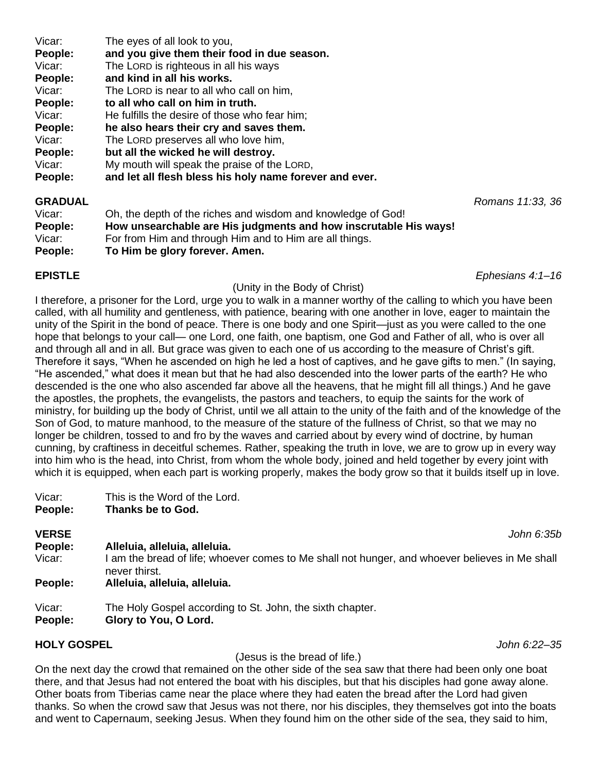| The eyes of all look to you,                            |
|---------------------------------------------------------|
| and you give them their food in due season.             |
| The LORD is righteous in all his ways                   |
| and kind in all his works.                              |
| The LORD is near to all who call on him,                |
| to all who call on him in truth.                        |
| He fulfills the desire of those who fear him;           |
| he also hears their cry and saves them.                 |
| The LORD preserves all who love him,                    |
| but all the wicked he will destroy.                     |
| My mouth will speak the praise of the LORD,             |
| and let all flesh bless his holy name forever and ever. |
|                                                         |

### **GRADUAL** *Romans 11:33, 36*

| Vicar:  | Oh, the depth of the riches and wisdom and knowledge of God!     |
|---------|------------------------------------------------------------------|
| People: | How unsearchable are His judgments and how inscrutable His ways! |
| Vicar:  | For from Him and through Him and to Him are all things.          |
| People: | To Him be glory forever. Amen.                                   |

**EPISTLE** *Ephesians 4:1–16*

### (Unity in the Body of Christ)

I therefore, a prisoner for the Lord, urge you to walk in a manner worthy of the calling to which you have been called, with all humility and gentleness, with patience, bearing with one another in love, eager to maintain the unity of the Spirit in the bond of peace. There is one body and one Spirit—just as you were called to the one hope that belongs to your call— one Lord, one faith, one baptism, one God and Father of all, who is over all and through all and in all. But grace was given to each one of us according to the measure of Christ's gift. Therefore it says, "When he ascended on high he led a host of captives, and he gave gifts to men." (In saying, "He ascended," what does it mean but that he had also descended into the lower parts of the earth? He who descended is the one who also ascended far above all the heavens, that he might fill all things.) And he gave the apostles, the prophets, the evangelists, the pastors and teachers, to equip the saints for the work of ministry, for building up the body of Christ, until we all attain to the unity of the faith and of the knowledge of the Son of God, to mature manhood, to the measure of the stature of the fullness of Christ, so that we may no longer be children, tossed to and fro by the waves and carried about by every wind of doctrine, by human cunning, by craftiness in deceitful schemes. Rather, speaking the truth in love, we are to grow up in every way into him who is the head, into Christ, from whom the whole body, joined and held together by every joint with which it is equipped, when each part is working properly, makes the body grow so that it builds itself up in love.

| Vicar: |  |  |  | This is the Word of the Lord. |
|--------|--|--|--|-------------------------------|
|        |  |  |  |                               |

**People: Thanks be to God.**

| <b>VERSE</b> | John 6:35b                                                                                                      |
|--------------|-----------------------------------------------------------------------------------------------------------------|
| People:      | Alleluia, alleluia, alleluia.                                                                                   |
| Vicar:       | I am the bread of life; whoever comes to Me shall not hunger, and whoever believes in Me shall<br>never thirst. |
| People:      | Alleluia, alleluia, alleluia.                                                                                   |
| Vicar:       | The Holy Gospel according to St. John, the sixth chapter.                                                       |

**People: Glory to You, O Lord.**

# **HOLY GOSPEL** *John 6:22–35*

(Jesus is the bread of life.)

On the next day the crowd that remained on the other side of the sea saw that there had been only one boat there, and that Jesus had not entered the boat with his disciples, but that his disciples had gone away alone. Other boats from Tiberias came near the place where they had eaten the bread after the Lord had given thanks. So when the crowd saw that Jesus was not there, nor his disciples, they themselves got into the boats and went to Capernaum, seeking Jesus. When they found him on the other side of the sea, they said to him,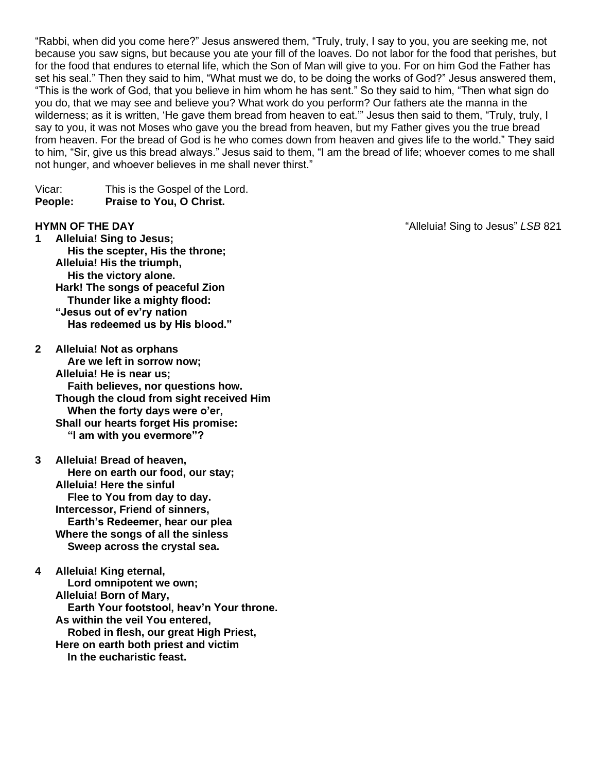"Rabbi, when did you come here?" Jesus answered them, "Truly, truly, I say to you, you are seeking me, not because you saw signs, but because you ate your fill of the loaves. Do not labor for the food that perishes, but for the food that endures to eternal life, which the Son of Man will give to you. For on him God the Father has set his seal." Then they said to him, "What must we do, to be doing the works of God?" Jesus answered them, "This is the work of God, that you believe in him whom he has sent." So they said to him, "Then what sign do you do, that we may see and believe you? What work do you perform? Our fathers ate the manna in the wilderness; as it is written, 'He gave them bread from heaven to eat." Jesus then said to them, "Truly, truly, I say to you, it was not Moses who gave you the bread from heaven, but my Father gives you the true bread from heaven. For the bread of God is he who comes down from heaven and gives life to the world." They said to him, "Sir, give us this bread always." Jesus said to them, "I am the bread of life; whoever comes to me shall not hunger, and whoever believes in me shall never thirst."

- **1 Alleluia! Sing to Jesus; His the scepter, His the throne; Alleluia! His the triumph, His the victory alone. Hark! The songs of peaceful Zion**
	- **Thunder like a mighty flood: "Jesus out of ev'ry nation Has redeemed us by His blood."**

**2 Alleluia! Not as orphans Are we left in sorrow now; Alleluia! He is near us; Faith believes, nor questions how. Though the cloud from sight received Him When the forty days were o'er, Shall our hearts forget His promise: "I am with you evermore"?**

**3 Alleluia! Bread of heaven, Here on earth our food, our stay; Alleluia! Here the sinful Flee to You from day to day. Intercessor, Friend of sinners, Earth's Redeemer, hear our plea Where the songs of all the sinless Sweep across the crystal sea.**

**4 Alleluia! King eternal, Lord omnipotent we own; Alleluia! Born of Mary, Earth Your footstool, heav'n Your throne. As within the veil You entered, Robed in flesh, our great High Priest, Here on earth both priest and victim In the eucharistic feast.**

**HYMN OF THE DAY** "Alleluia! Sing to Jesus" *LSB* 821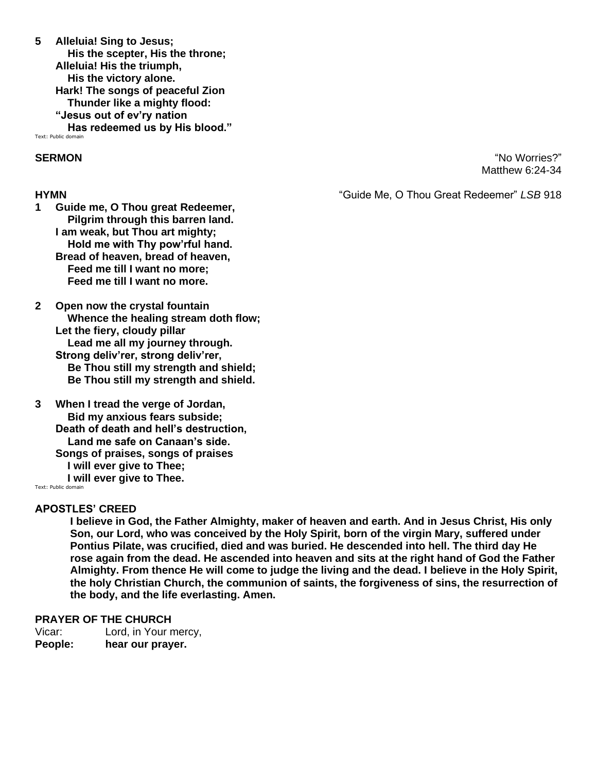**5 Alleluia! Sing to Jesus; His the scepter, His the throne; Alleluia! His the triumph, His the victory alone. Hark! The songs of peaceful Zion Thunder like a mighty flood: "Jesus out of ev'ry nation Has redeemed us by His blood."** Text: Public domain

**SERMON** "No Worries?" Matthew 6:24-34

**HYMN** "Guide Me, O Thou Great Redeemer" *LSB* 918

**1 Guide me, O Thou great Redeemer, Pilgrim through this barren land. I am weak, but Thou art mighty; Hold me with Thy pow'rful hand. Bread of heaven, bread of heaven, Feed me till I want no more; Feed me till I want no more.**

**2 Open now the crystal fountain Whence the healing stream doth flow; Let the fiery, cloudy pillar Lead me all my journey through. Strong deliv'rer, strong deliv'rer, Be Thou still my strength and shield; Be Thou still my strength and shield.**

**3 When I tread the verge of Jordan, Bid my anxious fears subside; Death of death and hell's destruction, Land me safe on Canaan's side. Songs of praises, songs of praises I will ever give to Thee; I will ever give to Thee.**

Text: Public domain

#### **APOSTLES' CREED**

**I believe in God, the Father Almighty, maker of heaven and earth. And in Jesus Christ, His only Son, our Lord, who was conceived by the Holy Spirit, born of the virgin Mary, suffered under Pontius Pilate, was crucified, died and was buried. He descended into hell. The third day He rose again from the dead. He ascended into heaven and sits at the right hand of God the Father Almighty. From thence He will come to judge the living and the dead. I believe in the Holy Spirit, the holy Christian Church, the communion of saints, the forgiveness of sins, the resurrection of the body, and the life everlasting. Amen.**

#### **PRAYER OF THE CHURCH**

Vicar: Lord, in Your mercy, **People: hear our prayer.**